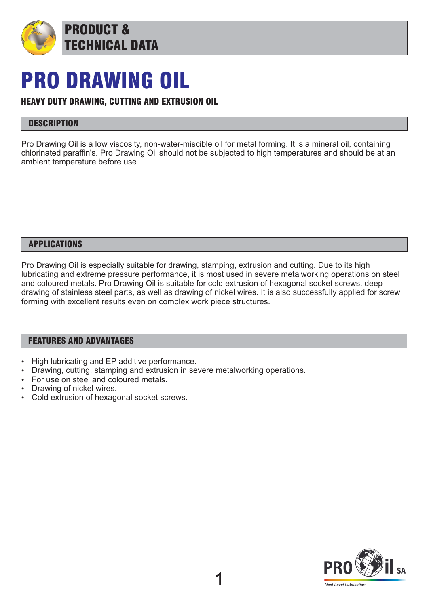

## PRO DRAWING OIL

#### HEAVY DUTY DRAWING, CUTTING AND EXTRUSION OIL

### **DESCRIPTION**

Pro Drawing Oil is a low viscosity, non-water-miscible oil for metal forming. It is a mineral oil, containing chlorinated paraffin's. Pro Drawing Oil should not be subjected to high temperatures and should be at an ambient temperature before use.

#### APPLICATIONS

Pro Drawing Oil is especially suitable for drawing, stamping, extrusion and cutting. Due to its high lubricating and extreme pressure performance, it is most used in severe metalworking operations on steel and coloured metals. Pro Drawing Oil is suitable for cold extrusion of hexagonal socket screws, deep drawing of stainless steel parts, as well as drawing of nickel wires. It is also successfully applied for screw forming with excellent results even on complex work piece structures.

#### FEATURES AND ADVANTAGES

- High lubricating and EP additive performance.
- Drawing, cutting, stamping and extrusion in severe metalworking operations.
- For use on steel and coloured metals.
- Drawing of nickel wires.
- Cold extrusion of hexagonal socket screws.